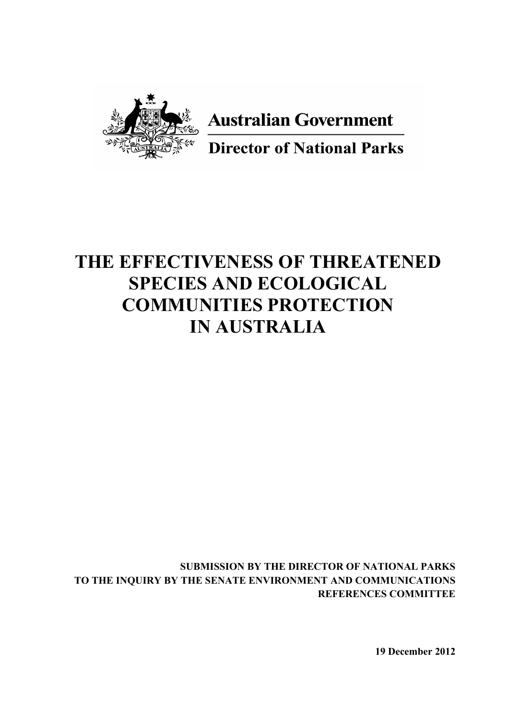

**Australian Government** 

**Director of National Parks** 

# **THE EFFECTIVENESS OF THREATENED SPECIES AND ECOLOGICAL COMMUNITIES PROTECTION IN AUSTRALIA**

**SUBMISSION BY THE DIRECTOR OF NATIONAL PARKS TO THE INQUIRY BY THE SENATE ENVIRONMENT AND COMMUNICATIONS REFERENCES COMMITTEE**

**19 December 2012**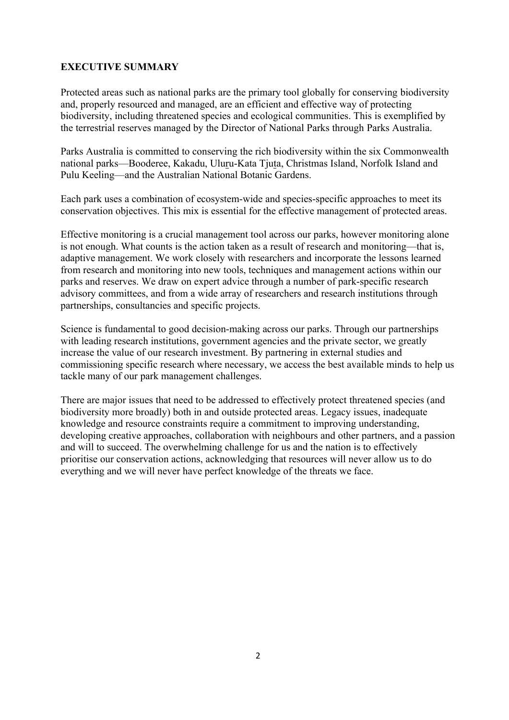## **EXECUTIVE SUMMARY**

Protected areas such as national parks are the primary tool globally for conserving biodiversity and, properly resourced and managed, are an efficient and effective way of protecting biodiversity, including threatened species and ecological communities. This is exemplified by the terrestrial reserves managed by the Director of National Parks through Parks Australia.

Parks Australia is committed to conserving the rich biodiversity within the six Commonwealth national parks—Booderee, Kakadu, Uluru-Kata Tjuta, Christmas Island, Norfolk Island and Pulu Keeling—and the Australian National Botanic Gardens.

Each park uses a combination of ecosystem-wide and species-specific approaches to meet its conservation objectives. This mix is essential for the effective management of protected areas.

Effective monitoring is a crucial management tool across our parks, however monitoring alone is not enough. What counts is the action taken as a result of research and monitoring—that is, adaptive management. We work closely with researchers and incorporate the lessons learned from research and monitoring into new tools, techniques and management actions within our parks and reserves. We draw on expert advice through a number of park-specific research advisory committees, and from a wide array of researchers and research institutions through partnerships, consultancies and specific projects.

Science is fundamental to good decision-making across our parks. Through our partnerships with leading research institutions, government agencies and the private sector, we greatly increase the value of our research investment. By partnering in external studies and commissioning specific research where necessary, we access the best available minds to help us tackle many of our park management challenges.

There are major issues that need to be addressed to effectively protect threatened species (and biodiversity more broadly) both in and outside protected areas. Legacy issues, inadequate knowledge and resource constraints require a commitment to improving understanding, developing creative approaches, collaboration with neighbours and other partners, and a passion and will to succeed. The overwhelming challenge for us and the nation is to effectively prioritise our conservation actions, acknowledging that resources will never allow us to do everything and we will never have perfect knowledge of the threats we face.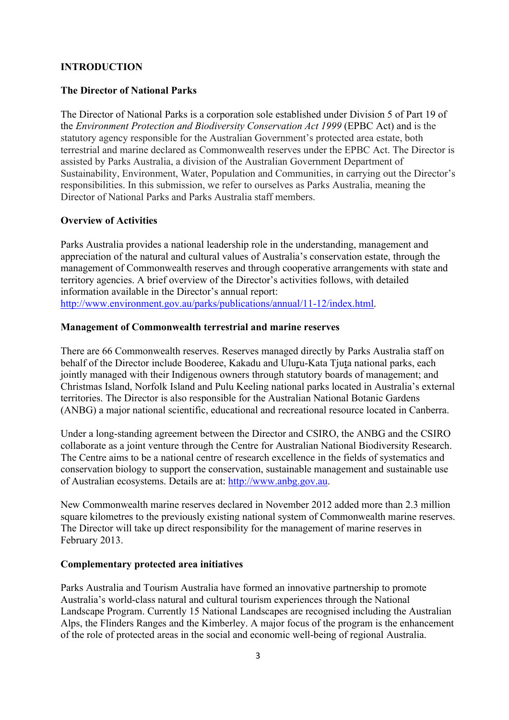$"$  #  $$%$  % & ' $$*#%$  (')

> $\begin{array}{ccc} & . & & . & \rightarrow \end{array}$  $\overline{(\ }$  $\overline{(}$ )  $\qquad \qquad ^{*}$

 $, +$   $, +$   $-$  % & \$ # , # \$ # +

 $\overline{\phantom{a}}$ 



 $\frac{0}{0}$ 

 $\overline{0}$ 

3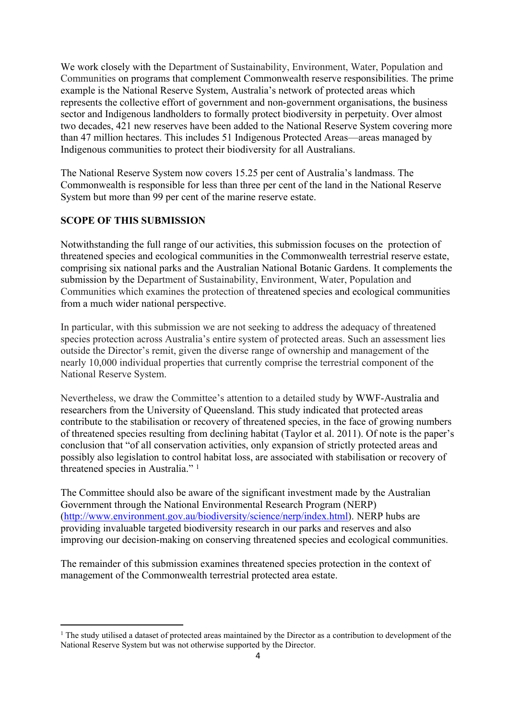





l,



 $\frac{9}{6}$ 

 $\overline{1}$  $\overline{8}$  $\overline{\phantom{a}}$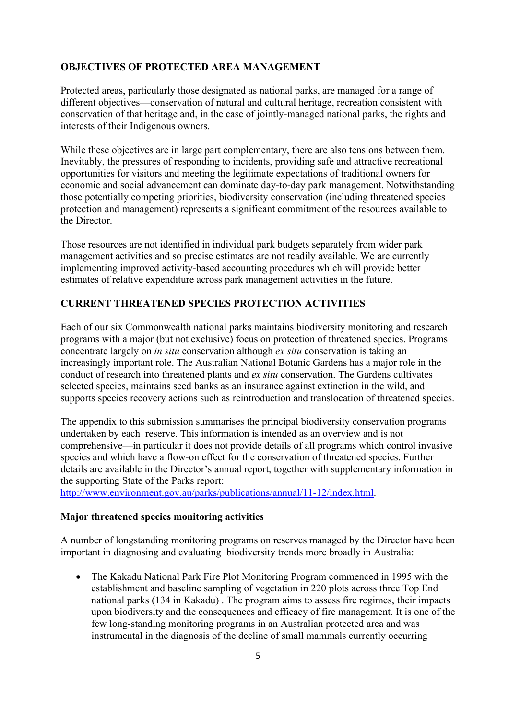

 $\big)$ 

 $\overline{c}$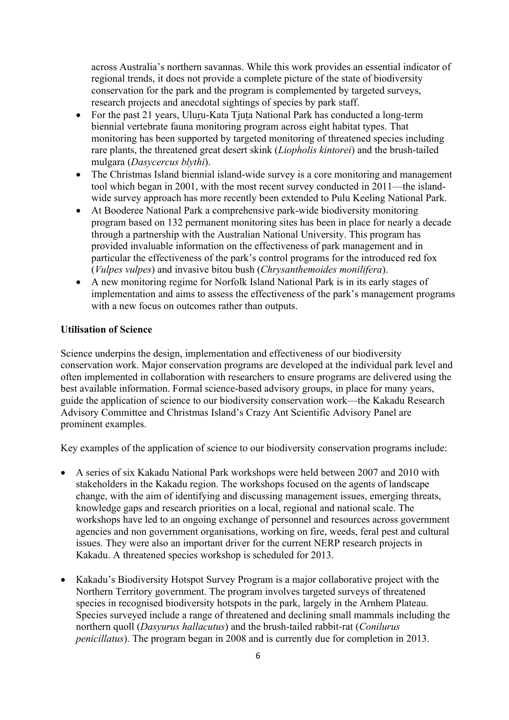across Australia's northern savannas. While this work provides an essential indicator of regional trends, it does not provide a complete picture of the state of biodiversity conservation for the park and the program is complemented by targeted surveys, research projects and anecdotal sightings of species by park staff.

- For the past 21 years, Uluru-Kata Tiuta National Park has conducted a long-term biennial vertebrate fauna monitoring program across eight habitat types. That monitoring has been supported by targeted monitoring of threatened species including rare plants, the threatened great desert skink (*Liopholis kintorei*) and the brush-tailed mulgara (*Dasycercus blythi*).
- The Christmas Island biennial island-wide survey is a core monitoring and management tool which began in 2001, with the most recent survey conducted in 2011—the islandwide survey approach has more recently been extended to Pulu Keeling National Park.
- At Booderee National Park a comprehensive park-wide biodiversity monitoring program based on 132 permanent monitoring sites has been in place for nearly a decade through a partnership with the Australian National University. This program has provided invaluable information on the effectiveness of park management and in particular the effectiveness of the park's control programs for the introduced red fox (*Vulpes vulpes*) and invasive bitou bush (*Chrysanthemoides monilifera*).
- A new monitoring regime for Norfolk Island National Park is in its early stages of implementation and aims to assess the effectiveness of the park's management programs with a new focus on outcomes rather than outputs.

#### **Utilisation of Science**

Science underpins the design, implementation and effectiveness of our biodiversity conservation work. Major conservation programs are developed at the individual park level and often implemented in collaboration with researchers to ensure programs are delivered using the best available information. Formal science-based advisory groups, in place for many years, guide the application of science to our biodiversity conservation work—the Kakadu Research Advisory Committee and Christmas Island's Crazy Ant Scientific Advisory Panel are prominent examples.

Key examples of the application of science to our biodiversity conservation programs include:

- A series of six Kakadu National Park workshops were held between 2007 and 2010 with stakeholders in the Kakadu region. The workshops focused on the agents of landscape change, with the aim of identifying and discussing management issues, emerging threats, knowledge gaps and research priorities on a local, regional and national scale. The workshops have led to an ongoing exchange of personnel and resources across government agencies and non government organisations, working on fire, weeds, feral pest and cultural issues. They were also an important driver for the current NERP research projects in Kakadu. A threatened species workshop is scheduled for 2013.
- Kakadu's Biodiversity Hotspot Survey Program is a major collaborative project with the Northern Territory government. The program involves targeted surveys of threatened species in recognised biodiversity hotspots in the park, largely in the Arnhem Plateau. Species surveyed include a range of threatened and declining small mammals including the northern quoll (*Dasyurus hallacutus*) and the brush-tailed rabbit-rat (*Conilurus penicillatus*). The program began in 2008 and is currently due for completion in 2013.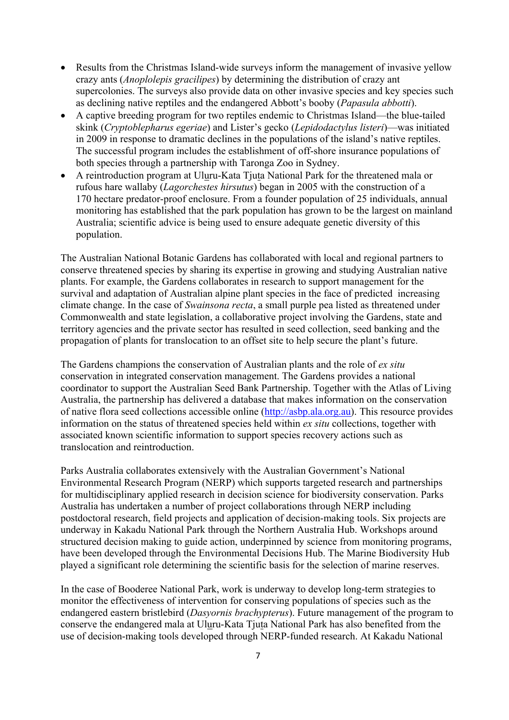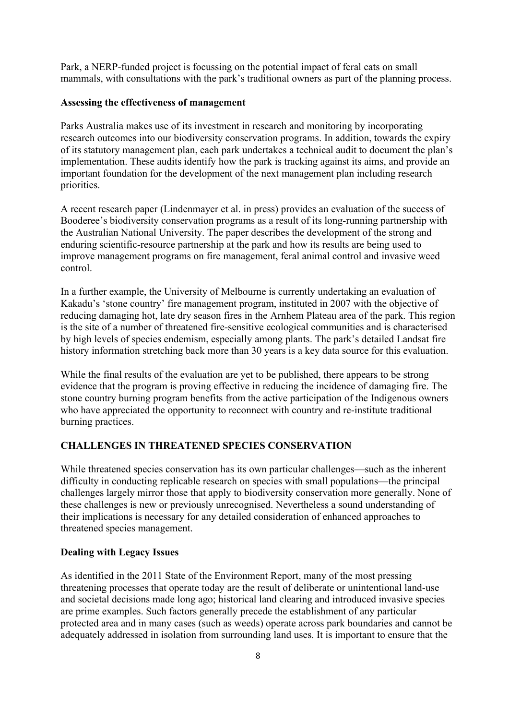Park, a NERP-funded project is focussing on the potential impact of feral cats on small mammals, with consultations with the park's traditional owners as part of the planning process.

#### **Assessing the effectiveness of management**

Parks Australia makes use of its investment in research and monitoring by incorporating research outcomes into our biodiversity conservation programs. In addition, towards the expiry of its statutory management plan, each park undertakes a technical audit to document the plan's implementation. These audits identify how the park is tracking against its aims, and provide an important foundation for the development of the next management plan including research priorities.

A recent research paper (Lindenmayer et al. in press) provides an evaluation of the success of Booderee's biodiversity conservation programs as a result of its long-running partnership with the Australian National University. The paper describes the development of the strong and enduring scientific-resource partnership at the park and how its results are being used to improve management programs on fire management, feral animal control and invasive weed control.

In a further example, the University of Melbourne is currently undertaking an evaluation of Kakadu's 'stone country' fire management program, instituted in 2007 with the objective of reducing damaging hot, late dry season fires in the Arnhem Plateau area of the park. This region is the site of a number of threatened fire-sensitive ecological communities and is characterised by high levels of species endemism, especially among plants. The park's detailed Landsat fire history information stretching back more than 30 years is a key data source for this evaluation.

While the final results of the evaluation are yet to be published, there appears to be strong evidence that the program is proving effective in reducing the incidence of damaging fire. The stone country burning program benefits from the active participation of the Indigenous owners who have appreciated the opportunity to reconnect with country and re-institute traditional burning practices.

## **CHALLENGES IN THREATENED SPECIES CONSERVATION**

While threatened species conservation has its own particular challenges—such as the inherent difficulty in conducting replicable research on species with small populations—the principal challenges largely mirror those that apply to biodiversity conservation more generally. None of these challenges is new or previously unrecognised. Nevertheless a sound understanding of their implications is necessary for any detailed consideration of enhanced approaches to threatened species management.

#### **Dealing with Legacy Issues**

As identified in the 2011 State of the Environment Report, many of the most pressing threatening processes that operate today are the result of deliberate or unintentional land-use and societal decisions made long ago; historical land clearing and introduced invasive species are prime examples. Such factors generally precede the establishment of any particular protected area and in many cases (such as weeds) operate across park boundaries and cannot be adequately addressed in isolation from surrounding land uses. It is important to ensure that the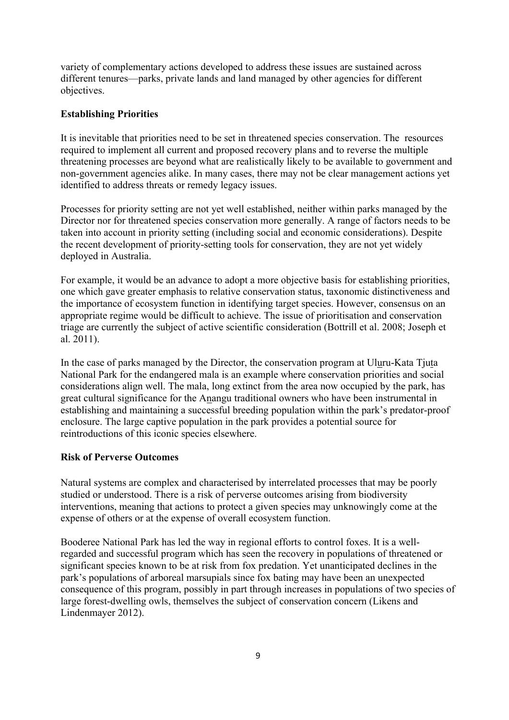variety of complementary actions developed to address these issues are sustained across different tenures—parks, private lands and land managed by other agencies for different objectives.

#### **Establishing Priorities**

It is inevitable that priorities need to be set in threatened species conservation. The resources required to implement all current and proposed recovery plans and to reverse the multiple threatening processes are beyond what are realistically likely to be available to government and non-government agencies alike. In many cases, there may not be clear management actions yet identified to address threats or remedy legacy issues.

Processes for priority setting are not yet well established, neither within parks managed by the Director nor for threatened species conservation more generally. A range of factors needs to be taken into account in priority setting (including social and economic considerations). Despite the recent development of priority-setting tools for conservation, they are not yet widely deployed in Australia.

For example, it would be an advance to adopt a more objective basis for establishing priorities, one which gave greater emphasis to relative conservation status, taxonomic distinctiveness and the importance of ecosystem function in identifying target species. However, consensus on an appropriate regime would be difficult to achieve. The issue of prioritisation and conservation triage are currently the subject of active scientific consideration (Bottrill et al. 2008; Joseph et al. 2011).

In the case of parks managed by the Director, the conservation program at Uluru-Kata Tjuta National Park for the endangered mala is an example where conservation priorities and social considerations align well. The mala, long extinct from the area now occupied by the park, has great cultural significance for the Anangu traditional owners who have been instrumental in establishing and maintaining a successful breeding population within the park's predator-proof enclosure. The large captive population in the park provides a potential source for reintroductions of this iconic species elsewhere.

## **Risk of Perverse Outcomes**

Natural systems are complex and characterised by interrelated processes that may be poorly studied or understood. There is a risk of perverse outcomes arising from biodiversity interventions, meaning that actions to protect a given species may unknowingly come at the expense of others or at the expense of overall ecosystem function.

Booderee National Park has led the way in regional efforts to control foxes. It is a wellregarded and successful program which has seen the recovery in populations of threatened or significant species known to be at risk from fox predation. Yet unanticipated declines in the park's populations of arboreal marsupials since fox bating may have been an unexpected consequence of this program, possibly in part through increases in populations of two species of large forest-dwelling owls, themselves the subject of conservation concern (Likens and Lindenmayer 2012).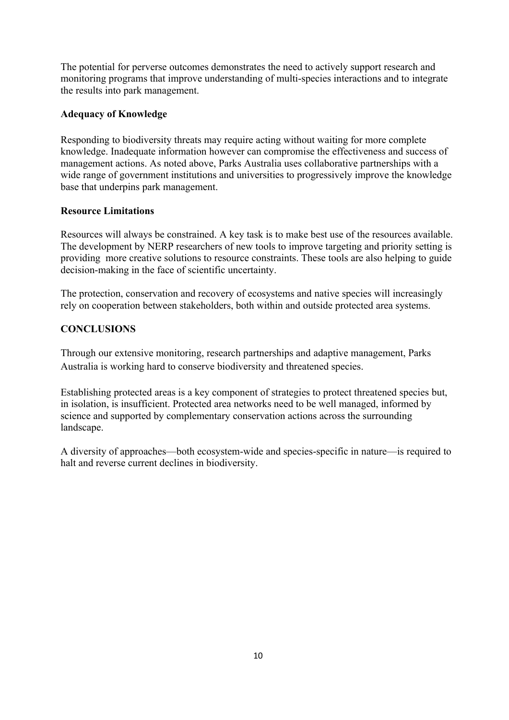The potential for perverse outcomes demonstrates the need to actively support research and monitoring programs that improve understanding of multi-species interactions and to integrate the results into park management.

# **Adequacy of Knowledge**

Responding to biodiversity threats may require acting without waiting for more complete knowledge. Inadequate information however can compromise the effectiveness and success of management actions. As noted above, Parks Australia uses collaborative partnerships with a wide range of government institutions and universities to progressively improve the knowledge base that underpins park management.

## **Resource Limitations**

Resources will always be constrained. A key task is to make best use of the resources available. The development by NERP researchers of new tools to improve targeting and priority setting is providing more creative solutions to resource constraints. These tools are also helping to guide decision-making in the face of scientific uncertainty.

The protection, conservation and recovery of ecosystems and native species will increasingly rely on cooperation between stakeholders, both within and outside protected area systems.

# **CONCLUSIONS**

Through our extensive monitoring, research partnerships and adaptive management, Parks Australia is working hard to conserve biodiversity and threatened species.

Establishing protected areas is a key component of strategies to protect threatened species but, in isolation, is insufficient. Protected area networks need to be well managed, informed by science and supported by complementary conservation actions across the surrounding landscape.

A diversity of approaches—both ecosystem-wide and species-specific in nature—is required to halt and reverse current declines in biodiversity.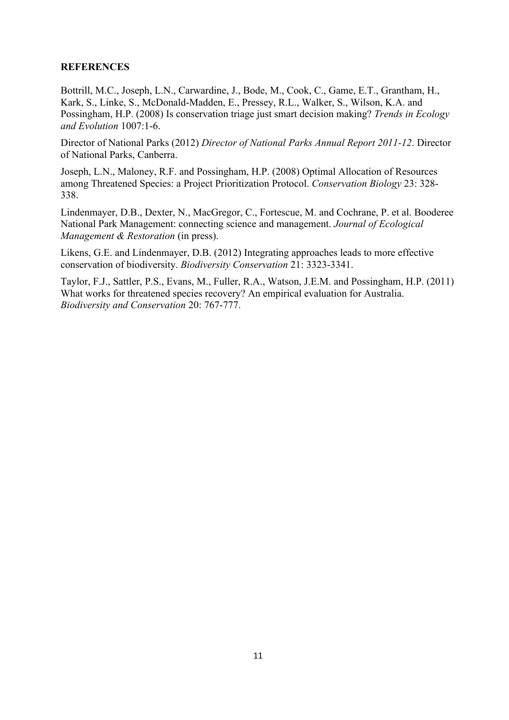## **REFERENCES**

Bottrill, M.C., Joseph, L.N., Carwardine, J., Bode, M., Cook, C., Game, E.T., Grantham, H., Kark, S., Linke, S., McDonald-Madden, E., Pressey, R.L., Walker, S., Wilson, K.A. and Possingham, H.P. (2008) Is conservation triage just smart decision making? *Trends in Ecology and Evolution* 1007:1-6.

Director of National Parks (2012) *Director of National Parks Annual Report 2011-12*. Director of National Parks, Canberra.

Joseph, L.N., Maloney, R.F. and Possingham, H.P. (2008) Optimal Allocation of Resources among Threatened Species: a Project Prioritization Protocol. *Conservation Biology* 23: 328- 338.

Lindenmayer, D.B., Dexter, N., MacGregor, C., Fortescue, M. and Cochrane, P. et al. Booderee National Park Management: connecting science and management. *Journal of Ecological Management & Restoration* (in press).

Likens, G.E. and Lindenmayer, D.B. (2012) Integrating approaches leads to more effective conservation of biodiversity. *Biodiversity Conservation* 21: 3323-3341.

Taylor, F.J., Sattler, P.S., Evans, M., Fuller, R.A., Watson, J.E.M. and Possingham, H.P. (2011) What works for threatened species recovery? An empirical evaluation for Australia. *Biodiversity and Conservation* 20: 767-777.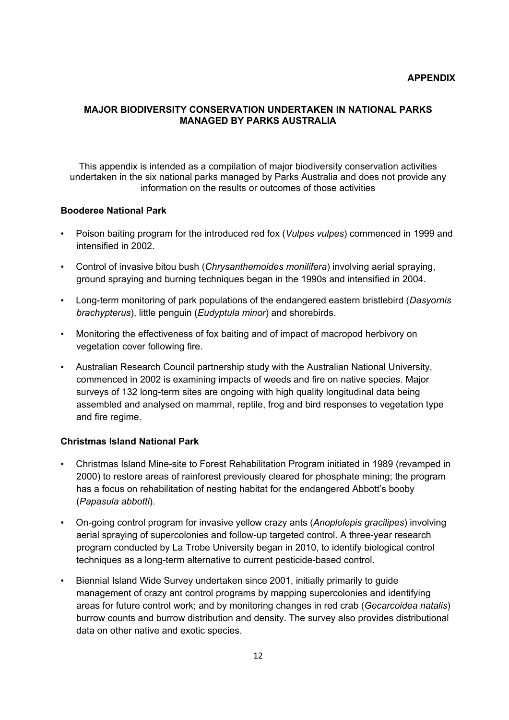#### **MAJOR BIODIVERSITY CONSERVATION UNDERTAKEN IN NATIONAL PARKS MANAGED BY PARKS AUSTRALIA**

This appendix is intended as a compilation of major biodiversity conservation activities undertaken in the six national parks managed by Parks Australia and does not provide any information on the results or outcomes of those activities

#### **Booderee National Park**

- Poison baiting program for the introduced red fox (*Vulpes vulpes*) commenced in 1999 and intensified in 2002.
- Control of invasive bitou bush (*Chrysanthemoides monilifera*) involving aerial spraying, ground spraying and burning techniques began in the 1990s and intensified in 2004.
- Long-term monitoring of park populations of the endangered eastern bristlebird (*Dasyornis brachypterus*), little penguin (*Eudyptula minor*) and shorebirds.
- Monitoring the effectiveness of fox baiting and of impact of macropod herbivory on vegetation cover following fire.
- Australian Research Council partnership study with the Australian National University, commenced in 2002 is examining impacts of weeds and fire on native species. Major surveys of 132 long-term sites are ongoing with high quality longitudinal data being assembled and analysed on mammal, reptile, frog and bird responses to vegetation type and fire regime.

## **Christmas Island National Park**

- Christmas Island Mine-site to Forest Rehabilitation Program initiated in 1989 (revamped in 2000) to restore areas of rainforest previously cleared for phosphate mining; the program has a focus on rehabilitation of nesting habitat for the endangered Abbott's booby (*Papasula abbotti*).
- On-going control program for invasive yellow crazy ants (*Anoplolepis gracilipes*) involving aerial spraying of supercolonies and follow-up targeted control. A three-year research program conducted by La Trobe University began in 2010, to identify biological control techniques as a long-term alternative to current pesticide-based control.
- Biennial Island Wide Survey undertaken since 2001, initially primarily to guide management of crazy ant control programs by mapping supercolonies and identifying areas for future control work; and by monitoring changes in red crab (*Gecarcoidea natalis*) burrow counts and burrow distribution and density. The survey also provides distributional data on other native and exotic species.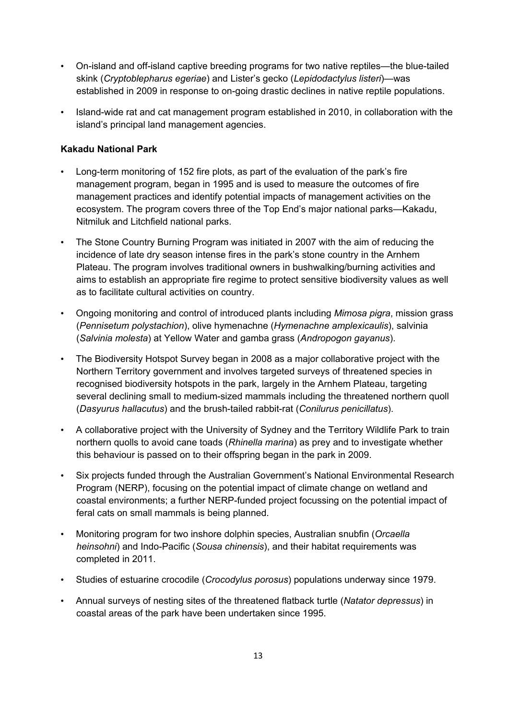- On-island and off-island captive breeding programs for two native reptiles—the blue-tailed skink (*Cryptoblepharus egeriae*) and Lister's gecko (*Lepidodactylus listeri*)—was established in 2009 in response to on-going drastic declines in native reptile populations.
- Island-wide rat and cat management program established in 2010, in collaboration with the island's principal land management agencies.

# **Kakadu National Park**

- Long-term monitoring of 152 fire plots, as part of the evaluation of the park's fire management program, began in 1995 and is used to measure the outcomes of fire management practices and identify potential impacts of management activities on the ecosystem. The program covers three of the Top End's major national parks—Kakadu, Nitmiluk and Litchfield national parks.
- The Stone Country Burning Program was initiated in 2007 with the aim of reducing the incidence of late dry season intense fires in the park's stone country in the Arnhem Plateau. The program involves traditional owners in bushwalking/burning activities and aims to establish an appropriate fire regime to protect sensitive biodiversity values as well as to facilitate cultural activities on country.
- Ongoing monitoring and control of introduced plants including *Mimosa pigra*, mission grass (*Pennisetum polystachion*), olive hymenachne (*Hymenachne amplexicaulis*), salvinia (*Salvinia molesta*) at Yellow Water and gamba grass (*Andropogon gayanus*).
- The Biodiversity Hotspot Survey began in 2008 as a major collaborative project with the Northern Territory government and involves targeted surveys of threatened species in recognised biodiversity hotspots in the park, largely in the Arnhem Plateau, targeting several declining small to medium-sized mammals including the threatened northern quoll (*Dasyurus hallacutus*) and the brush-tailed rabbit-rat (*Conilurus penicillatus*).
- A collaborative project with the University of Sydney and the Territory Wildlife Park to train northern quolls to avoid cane toads (*Rhinella marina*) as prey and to investigate whether this behaviour is passed on to their offspring began in the park in 2009.
- Six projects funded through the Australian Government's National Environmental Research Program (NERP), focusing on the potential impact of climate change on wetland and coastal environments; a further NERP-funded project focussing on the potential impact of feral cats on small mammals is being planned.
- Monitoring program for two inshore dolphin species, Australian snubfin (*Orcaella heinsohni*) and Indo-Pacific (*Sousa chinensis*), and their habitat requirements was completed in 2011.
- Studies of estuarine crocodile (*Crocodylus porosus*) populations underway since 1979.
- Annual surveys of nesting sites of the threatened flatback turtle (*Natator depressus*) in coastal areas of the park have been undertaken since 1995.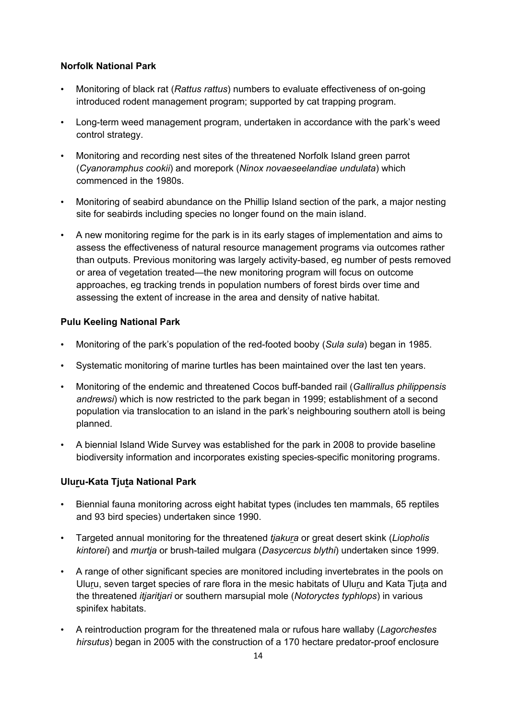# **Norfolk National Park**

- Monitoring of black rat (*Rattus rattus*) numbers to evaluate effectiveness of on-going introduced rodent management program; supported by cat trapping program.
- Long-term weed management program, undertaken in accordance with the park's weed control strategy.
- Monitoring and recording nest sites of the threatened Norfolk Island green parrot (*Cyanoramphus cookii*) and morepork (*Ninox novaeseelandiae undulata*) which commenced in the 1980s.
- Monitoring of seabird abundance on the Phillip Island section of the park, a major nesting site for seabirds including species no longer found on the main island.
- A new monitoring regime for the park is in its early stages of implementation and aims to assess the effectiveness of natural resource management programs via outcomes rather than outputs. Previous monitoring was largely activity-based, eg number of pests removed or area of vegetation treated—the new monitoring program will focus on outcome approaches, eg tracking trends in population numbers of forest birds over time and assessing the extent of increase in the area and density of native habitat.

# **Pulu Keeling National Park**

- Monitoring of the park's population of the red-footed booby (*Sula sula*) began in 1985.
- Systematic monitoring of marine turtles has been maintained over the last ten years.
- Monitoring of the endemic and threatened Cocos buff-banded rail (*Gallirallus philippensis andrewsi*) which is now restricted to the park began in 1999; establishment of a second population via translocation to an island in the park's neighbouring southern atoll is being planned.
- A biennial Island Wide Survey was established for the park in 2008 to provide baseline biodiversity information and incorporates existing species-specific monitoring programs.

# **Uluru-Kata Tjuta National Park**

- Biennial fauna monitoring across eight habitat types (includes ten mammals, 65 reptiles and 93 bird species) undertaken since 1990.
- Targeted annual monitoring for the threatened *tjakura* or great desert skink (*Liopholis kintorei*) and *murtja* or brush-tailed mulgara (*Dasycercus blythi*) undertaken since 1999.
- A range of other significant species are monitored including invertebrates in the pools on Uluru, seven target species of rare flora in the mesic habitats of Uluru and Kata Tjuta and the threatened *itjaritjari* or southern marsupial mole (*Notoryctes typhlops*) in various spinifex habitats.
- A reintroduction program for the threatened mala or rufous hare wallaby (*Lagorchestes hirsutus*) began in 2005 with the construction of a 170 hectare predator-proof enclosure